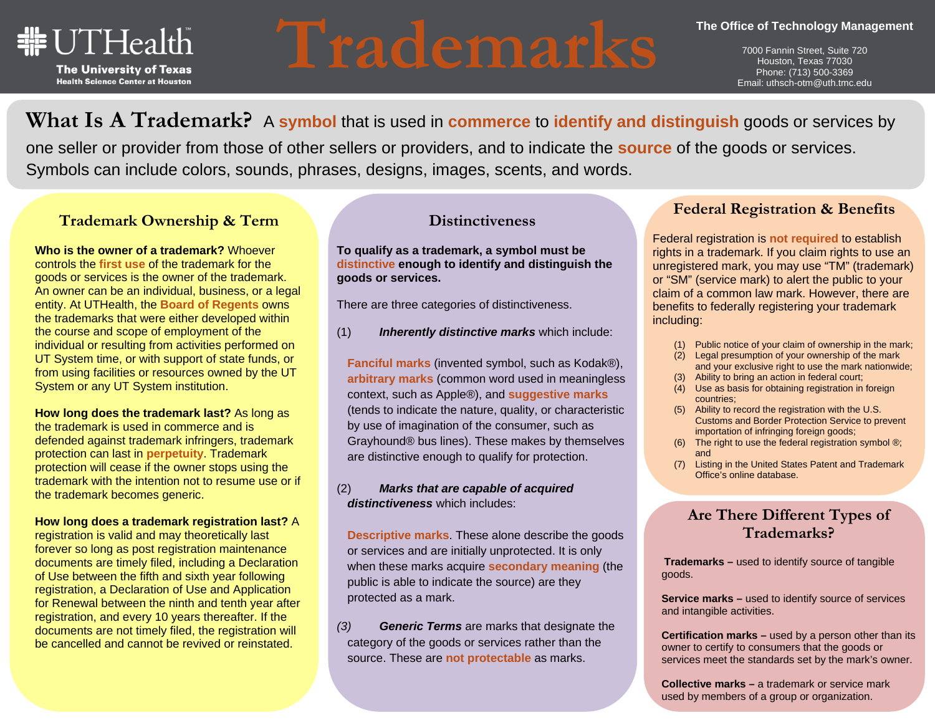

# **Trademarks**

7000 Fannin Street, Suite 720 Houston, Texas 77030 Phone: (713) 500-3369 Email: uthsch-otm@uth.tmc.edu

## **What Is A Trademark?** A **symbol** that is used in **commerce** to **identify and distinguish** goods or services by

one seller or provider from those of other sellers or providers, and to indicate the **source** of the goods or services. Symbols can include colors, sounds, phrases, designs, images, scents, and words.

## **Trademark Ownership & Term**

**Who is the owner of a trademark?** Whoever controls the **first use** of the trademark for the goods or services is the owner of the trademark. An owner can be an individual, business, or a legal entity. At UTHealth, the **Board of Regents** owns the trademarks that were either developed within the course and scope of employment of the individual or resulting from activities performed on UT System time, or with support of state funds, or from using facilities or resources owned by the UT System or any UT System institution.

**How long does the trademark last?** As long as the trademark is used in commerce and is defended against trademark infringers, trademark protection can last in **perpetuity**. Trademark protection will cease if the owner stops using the trademark with the intention not to resume use or if the trademark becomes generic.

**How long does a trademark registration last?** A

registration is valid and may theoretically last forever so long as post registration maintenance documents are timely filed, including a Declaration of Use between the fifth and sixth year following registration, a Declaration of Use and Application for Renewal between the ninth and tenth year after registration, and every 10 years thereafter. If the documents are not timely filed, the registration will be cancelled and cannot be revived or reinstated.

## **Distinctiveness**

**To qualify as a trademark, a symbol must be distinctive enough to identify and distinguish the goods or services.** 

There are three categories of distinctiveness.

(1) *Inherently distinctive marks* which include:

**Fanciful marks** (invented symbol, such as Kodak®), **arbitrary marks** (common word used in meaningless context, such as Apple®), and **suggestive marks** (tends to indicate the nature, quality, or characteristic by use of imagination of the consumer, such as Grayhound® bus lines). These makes by themselves are distinctive enough to qualify for protection.

### (2) *Marks that are capable of acquired distinctiveness* which includes:

**Descriptive marks**. These alone describe the goods or services and are initially unprotected. It is only when these marks acquire **secondary meaning** (the public is able to indicate the source) are they protected as a mark.

*(3) Generic Terms* are marks that designate the category of the goods or services rather than the source. These are **not protectable** as marks.

## **Federal Registration & Benefits**

Federal registration is **not required** to establish rights in a trademark. If you claim rights to use an unregistered mark, you may use "TM" (trademark) or "SM" (service mark) to alert the public to your claim of a common law mark. However, there are benefits to federally registering your trademark including:

- (1) Public notice of your claim of ownership in the mark;
- (2) Legal presumption of your ownership of the mark and your exclusive right to use the mark nationwide;
- (3) Ability to bring an action in federal court;
- (4) Use as basis for obtaining registration in foreign countries;
- (5) Ability to record the registration with the U.S. Customs and Border Protection Service to prevent importation of infringing foreign goods;
- (6) The right to use the federal registration symbol ®; and
- (7) Listing in the United States Patent and Trademark Office's online database.

## **Are There Different Types of Trademarks?**

**Trademarks –** used to identify source of tangible goods.

**Service marks – used to identify source of services** and intangible activities.

**Certification marks –** used by a person other than its owner to certify to consumers that the goods or services meet the standards set by the mark's owner.

**Collective marks –** a trademark or service mark used by members of a group or organization.